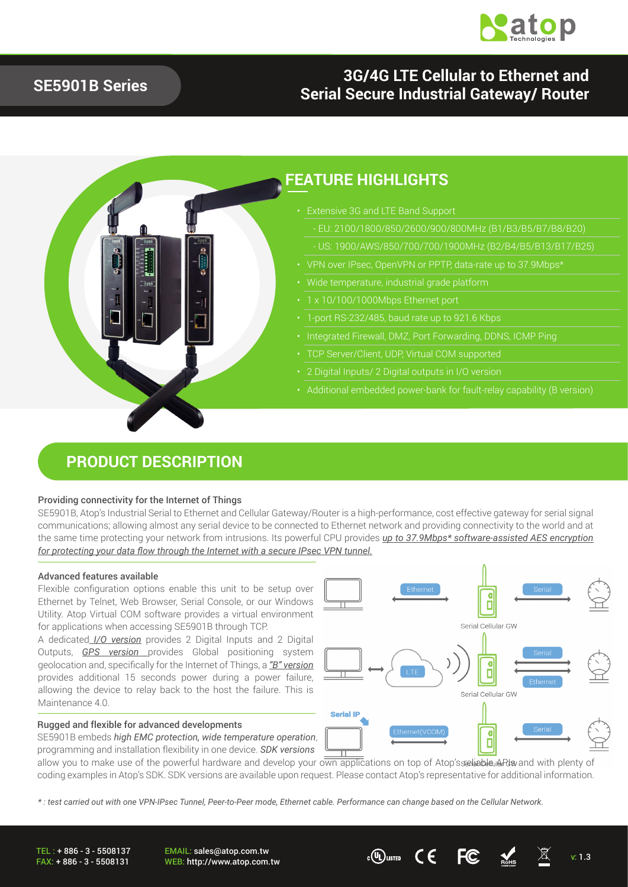

## **SE5901B Series**

## **3G/4G LTE Cellular to Ethernet and Serial Secure Industrial Gateway/ Router**



### **FEATURE HIGHLIGHTS**

- Extensive 3G and LTE Band Support
	- EU: 2100/1800/850/2600/900/800MHz (B1/B3/B5/B7/B8/B20)
	-
- 
- 
- 
- 1-port RS-232/485, baud rate up to 921.6 Kbps
- 
- TCP Server/Client, UDP, Virtual COM supported
- 
- Additional embedded power-bank for fault-relay capability (B version)

### **PRODUCT DESCRIPTION**

#### Providing connectivity for the Internet of Things

SE5901B, Atop's Industrial Serial to Ethernet and Cellular Gateway/Router is a high-performance, cost effective gateway for serial signal communications; allowing almost any serial device to be connected to Ethernet network and providing connectivity to the world and at the same time protecting your network from intrusions. Its powerful CPU provides *up to 37.9Mbps\* software-assisted AES encryption for protecting your data flow through the Internet with a secure IPsec VPN tunnel.*

#### Advanced features available

Flexible configuration options enable this unit to be setup over Ethernet by Telnet, Web Browser, Serial Console, or our Windows Utility. Atop Virtual COM software provides a virtual environment for applications when accessing SE5901B through TCP.

A dedicated *I/O version* provides 2 Digital Inputs and 2 Digital Outputs, *GPS version* provides Global positioning system geolocation and, specifically for the Internet of Things, a *"B" version* provides additional 15 seconds power during a power failure, allowing the device to relay back to the host the failure. This is Maintenance 4.0.

#### Rugged and flexible for advanced developments

SE5901B embeds *high EMC protection, wide temperature operation*, programming and installation flexibility in one device. *SDK versions*



allow you to make use of the powerful hardware and develop your  $\overline{\text{own}}$  applications on top of Atop's seleable APIs and with plenty of coding examples in Atop's SDK. SDK versions are available upon request. Please contact Atop's representative for additional information.

*\* : test carried out with one VPN-IPsec Tunnel, Peer-to-Peer mode, Ethernet cable. Performance can change based on the Cellular Network.* 

TEL : + 886 - 3 - 5508137 FAX: + 886 - 3 - 5508131 EMAIL: sales@atop.com.tw WEB: http://www.atop.com.tw v: 1.3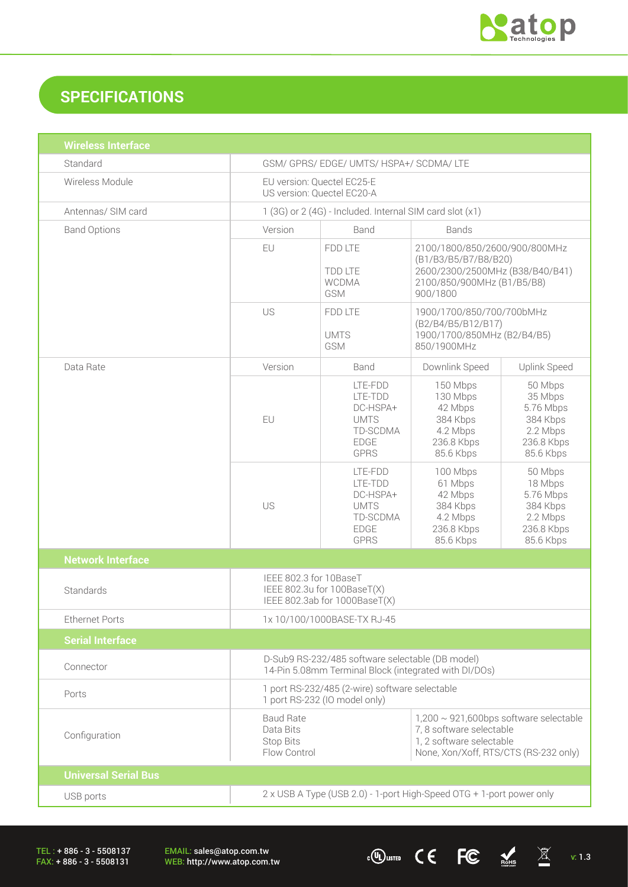

# **SPECIFICATIONS**

| <b>Wireless Interface</b>   |                                                                                                                                                                                                             |                                                                                         |                                                                                                                                    |                                                                                    |
|-----------------------------|-------------------------------------------------------------------------------------------------------------------------------------------------------------------------------------------------------------|-----------------------------------------------------------------------------------------|------------------------------------------------------------------------------------------------------------------------------------|------------------------------------------------------------------------------------|
| Standard                    | GSM/ GPRS/ EDGE/ UMTS/ HSPA+/ SCDMA/ LTE                                                                                                                                                                    |                                                                                         |                                                                                                                                    |                                                                                    |
| Wireless Module             | EU version: Quectel EC25-E<br>US version: Quectel EC20-A                                                                                                                                                    |                                                                                         |                                                                                                                                    |                                                                                    |
| Antennas/ SIM card          | 1 (3G) or 2 (4G) - Included. Internal SIM card slot (x1)                                                                                                                                                    |                                                                                         |                                                                                                                                    |                                                                                    |
| <b>Band Options</b>         | Version<br>Band<br><b>Bands</b>                                                                                                                                                                             |                                                                                         |                                                                                                                                    |                                                                                    |
|                             | EU                                                                                                                                                                                                          | FDD LTE<br><b>TDD LTE</b><br><b>WCDMA</b><br>GSM                                        | 2100/1800/850/2600/900/800MHz<br>(B1/B3/B5/B7/B8/B20)<br>2600/2300/2500MHz (B38/B40/B41)<br>2100/850/900MHz (B1/B5/B8)<br>900/1800 |                                                                                    |
|                             | US                                                                                                                                                                                                          | FDD LTE<br><b>UMTS</b><br>GSM                                                           | 1900/1700/850/700/700bMHz<br>(B2/B4/B5/B12/B17)<br>1900/1700/850MHz (B2/B4/B5)<br>850/1900MHz                                      |                                                                                    |
| Data Rate                   | Version                                                                                                                                                                                                     | Band                                                                                    | Downlink Speed                                                                                                                     | <b>Uplink Speed</b>                                                                |
|                             | EU                                                                                                                                                                                                          | LTE-FDD<br>LTE-TDD<br>DC-HSPA+<br><b>UMTS</b><br>TD-SCDMA<br><b>EDGE</b><br><b>GPRS</b> | 150 Mbps<br>130 Mbps<br>42 Mbps<br>384 Kbps<br>4.2 Mbps<br>236.8 Kbps<br>85.6 Kbps                                                 | 50 Mbps<br>35 Mbps<br>5.76 Mbps<br>384 Kbps<br>2.2 Mbps<br>236.8 Kbps<br>85.6 Kbps |
|                             | US                                                                                                                                                                                                          | LTE-FDD<br>LTE-TDD<br>DC-HSPA+<br><b>UMTS</b><br>TD-SCDMA<br><b>EDGE</b><br><b>GPRS</b> | 100 Mbps<br>61 Mbps<br>42 Mbps<br>384 Kbps<br>4.2 Mbps<br>236.8 Kbps<br>85.6 Kbps                                                  | 50 Mbps<br>18 Mbps<br>5.76 Mbps<br>384 Kbps<br>2.2 Mbps<br>236.8 Kbps<br>85.6 Kbps |
| <b>Network Interface</b>    |                                                                                                                                                                                                             |                                                                                         |                                                                                                                                    |                                                                                    |
| Standards                   | IEEE 802.3 for 10BaseT<br>IEEE 802.3u for 100BaseT(X)<br>IEEE 802.3ab for 1000BaseT(X)                                                                                                                      |                                                                                         |                                                                                                                                    |                                                                                    |
| <b>Ethernet Ports</b>       | 1x 10/100/1000BASE-TX RJ-45                                                                                                                                                                                 |                                                                                         |                                                                                                                                    |                                                                                    |
| <b>Serial Interface</b>     |                                                                                                                                                                                                             |                                                                                         |                                                                                                                                    |                                                                                    |
| Connector                   | D-Sub9 RS-232/485 software selectable (DB model)<br>14-Pin 5.08mm Terminal Block (integrated with DI/DOs)                                                                                                   |                                                                                         |                                                                                                                                    |                                                                                    |
| Ports                       | 1 port RS-232/485 (2-wire) software selectable<br>1 port RS-232 (IO model only)                                                                                                                             |                                                                                         |                                                                                                                                    |                                                                                    |
| Configuration               | $1,200 \sim 921,600$ bps software selectable<br><b>Baud Rate</b><br>7, 8 software selectable<br>Data Bits<br>1, 2 software selectable<br>Stop Bits<br>Flow Control<br>None, Xon/Xoff, RTS/CTS (RS-232 only) |                                                                                         |                                                                                                                                    |                                                                                    |
| <b>Universal Serial Bus</b> |                                                                                                                                                                                                             |                                                                                         |                                                                                                                                    |                                                                                    |
| USB ports                   | 2 x USB A Type (USB 2.0) - 1-port High-Speed OTG + 1-port power only                                                                                                                                        |                                                                                         |                                                                                                                                    |                                                                                    |

TEL : + 886 - 3 - 5508137 FAX: + 886 - 3 - 5508131

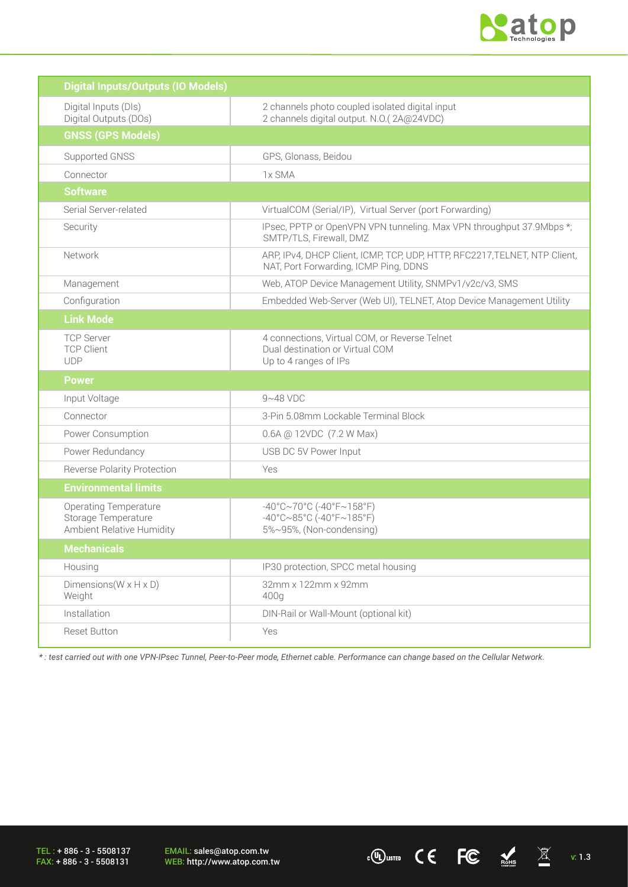

 $\overline{C}$  ( $\overline{C}$   $\overline{C}$   $\overline{M}$  v: 1.3

| <b>Digital Inputs/Outputs (IO Models)</b>                                               |                                                                                                                                  |
|-----------------------------------------------------------------------------------------|----------------------------------------------------------------------------------------------------------------------------------|
| Digital Inputs (DIs)<br>Digital Outputs (DOs)                                           | 2 channels photo coupled isolated digital input<br>2 channels digital output. N.O.(2A@24VDC)                                     |
| <b>GNSS (GPS Models)</b>                                                                |                                                                                                                                  |
| Supported GNSS                                                                          | GPS, Glonass, Beidou                                                                                                             |
| Connector                                                                               | 1x SMA                                                                                                                           |
| <b>Software</b>                                                                         |                                                                                                                                  |
| Serial Server-related                                                                   | VirtualCOM (Serial/IP), Virtual Server (port Forwarding)                                                                         |
| Security                                                                                | IPsec, PPTP or OpenVPN VPN tunneling. Max VPN throughput 37.9Mbps *;<br>SMTP/TLS, Firewall, DMZ                                  |
| Network                                                                                 | ARP, IPv4, DHCP Client, ICMP, TCP, UDP, HTTP, RFC2217, TELNET, NTP Client,<br>NAT, Port Forwarding, ICMP Ping, DDNS              |
| Management                                                                              | Web, ATOP Device Management Utility, SNMPv1/v2c/v3, SMS                                                                          |
| Configuration                                                                           | Embedded Web-Server (Web UI), TELNET, Atop Device Management Utility                                                             |
| <b>Link Mode</b>                                                                        |                                                                                                                                  |
| <b>TCP Server</b><br><b>TCP Client</b><br><b>UDP</b>                                    | 4 connections, Virtual COM, or Reverse Telnet<br>Dual destination or Virtual COM<br>Up to 4 ranges of IPs                        |
| <b>Power</b>                                                                            |                                                                                                                                  |
| Input Voltage                                                                           | $9 - 48$ VDC                                                                                                                     |
| Connector                                                                               | 3-Pin 5.08mm Lockable Terminal Block                                                                                             |
| Power Consumption                                                                       | 0.6A @ 12VDC (7.2 W Max)                                                                                                         |
| Power Redundancy                                                                        | USB DC 5V Power Input                                                                                                            |
| <b>Reverse Polarity Protection</b>                                                      | Yes                                                                                                                              |
| <b>Environmental limits</b>                                                             |                                                                                                                                  |
| <b>Operating Temperature</b><br>Storage Temperature<br><b>Ambient Relative Humidity</b> | $-40^{\circ}$ C $\sim$ 70°C (-40°F $\sim$ 158°F)<br>$-40^{\circ}$ C $\sim$ 85°C (-40°F $\sim$ 185°F)<br>5%~95%, (Non-condensing) |
| <b>Mechanicals</b>                                                                      |                                                                                                                                  |
| Housing                                                                                 | IP30 protection, SPCC metal housing                                                                                              |
| Dimensions ( $W \times H \times D$ )<br>Weight                                          | 32mm x 122mm x 92mm<br>400g                                                                                                      |
| Installation                                                                            | DIN-Rail or Wall-Mount (optional kit)                                                                                            |
| <b>Reset Button</b>                                                                     | Yes                                                                                                                              |

*\* : test carried out with one VPN-IPsec Tunnel, Peer-to-Peer mode, Ethernet cable. Performance can change based on the Cellular Network.* 

TEL : + 886 - 3 - 5508137 FAX: + 886 - 3 - 5508131

EMAIL: sales@atop.com.tw<br>WEB: http://www.atop.com.tw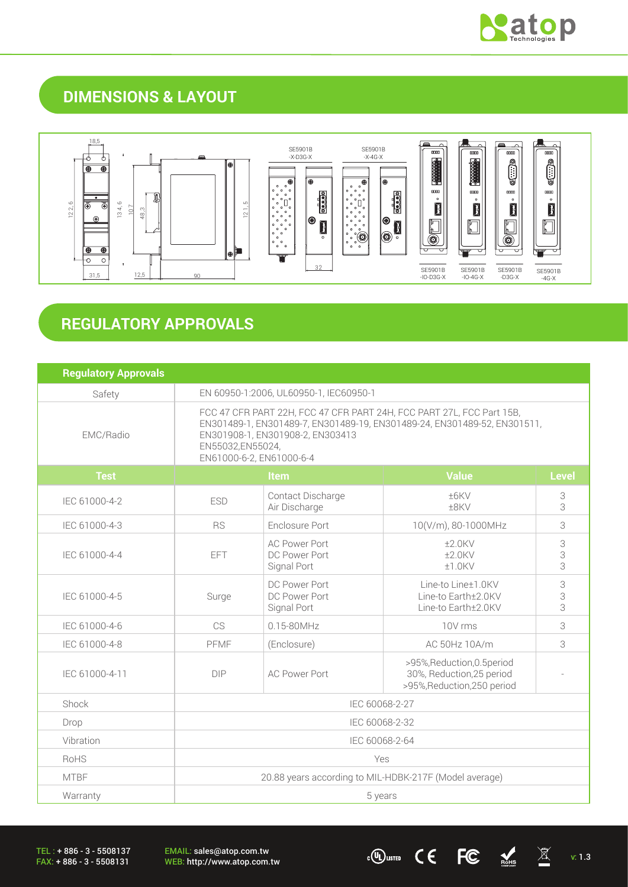

## **DIMENSIONS & LAYOUT**



# **REGULATORY APPROVALS**

| <b>Regulatory Approvals</b> |                                                                                                                                                                                                                                       |                                                                                             |                                                                                         |              |
|-----------------------------|---------------------------------------------------------------------------------------------------------------------------------------------------------------------------------------------------------------------------------------|---------------------------------------------------------------------------------------------|-----------------------------------------------------------------------------------------|--------------|
| Safety                      | EN 60950-1:2006, UL60950-1, IEC60950-1                                                                                                                                                                                                |                                                                                             |                                                                                         |              |
| EMC/Radio                   | FCC 47 CFR PART 22H, FCC 47 CFR PART 24H, FCC PART 27L, FCC Part 15B,<br>EN301489-1, EN301489-7, EN301489-19, EN301489-24, EN301489-52, EN301511,<br>EN301908-1, EN301908-2, EN303413<br>EN55032,EN55024,<br>EN61000-6-2, EN61000-6-4 |                                                                                             |                                                                                         |              |
| <b>Test</b>                 | Item                                                                                                                                                                                                                                  |                                                                                             | <b>Value</b>                                                                            | <b>Level</b> |
| IEC 61000-4-2               | Contact Discharge<br>±6KV<br><b>ESD</b><br>Air Discharge<br>±8KV                                                                                                                                                                      |                                                                                             | 3<br>3                                                                                  |              |
| IEC 61000-4-3               | Enclosure Port<br><b>RS</b>                                                                                                                                                                                                           |                                                                                             | 10(V/m), 80-1000MHz                                                                     | 3            |
| IEC 61000-4-4               | <b>EFT</b>                                                                                                                                                                                                                            | <b>AC Power Port</b><br>$±2.0$ KV<br>DC Power Port<br>$±2.0$ KV<br>Signal Port<br>$±1.0$ KV |                                                                                         | 3<br>3<br>3  |
| IEC 61000-4-5               | Surge                                                                                                                                                                                                                                 | DC Power Port<br>DC Power Port<br>Signal Port                                               | Line-to Line±1.0KV<br>Line-to Earth±2.0KV<br>Line-to Earth±2.0KV                        | 3<br>3<br>3  |
| IEC 61000-4-6               | CS                                                                                                                                                                                                                                    | 0.15-80MHz                                                                                  | 10V rms                                                                                 | 3            |
| IEC 61000-4-8               | PFMF                                                                                                                                                                                                                                  | (Enclosure)                                                                                 | AC 50Hz 10A/m                                                                           | 3            |
| IEC 61000-4-11              | <b>DIP</b>                                                                                                                                                                                                                            | <b>AC Power Port</b>                                                                        | >95%, Reduction, 0.5 period<br>30%, Reduction, 25 period<br>>95%, Reduction, 250 period |              |
| Shock                       | IEC 60068-2-27                                                                                                                                                                                                                        |                                                                                             |                                                                                         |              |
| Drop                        | IEC 60068-2-32                                                                                                                                                                                                                        |                                                                                             |                                                                                         |              |
| Vibration                   | IEC 60068-2-64                                                                                                                                                                                                                        |                                                                                             |                                                                                         |              |
| RoHS                        | Yes                                                                                                                                                                                                                                   |                                                                                             |                                                                                         |              |
| <b>MTBF</b>                 | 20.88 years according to MIL-HDBK-217F (Model average)                                                                                                                                                                                |                                                                                             |                                                                                         |              |
| Warranty                    | 5 years                                                                                                                                                                                                                               |                                                                                             |                                                                                         |              |